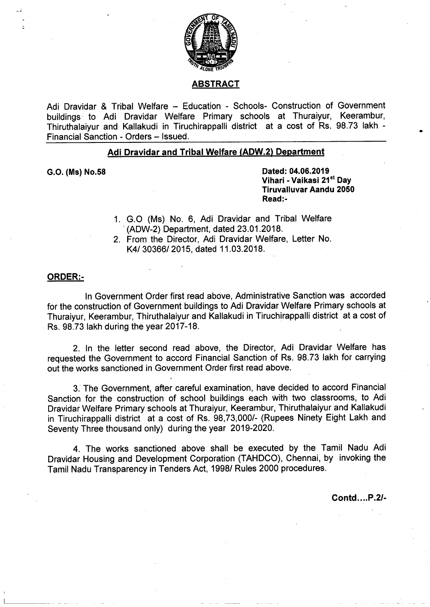

# **ABSTRACT**

Adi Dravidar & Tribal Welfare — Education - Schools- Construction of Government buildings to Adi Dravidar Welfare Primary schools at Thuraiyur, Keerambur, Thiruthalaiyur and Kallakudi in Tiruchirappalli district at a cost of Rs. 98.73 lakh - Financial Sanction - Orders — Issued.

## Adi Dravidar and Tribal Welfare (ADW.2) Department

6.0. (Ms) No.58 Dated: 04.06.2019 Vihari - Vaikasi 21<sup>st</sup> Day Tiruvalluvar Aandu 2050 Read:-

- 1. GO (Ms) No. 6, Adi Dravidar and Tribal Welfare '(ADW-2) Department, dated 23.01.2018.
- 2. From the Director, Adi Dravidar Welfare, Letter No. K4/ 30366/ 2015, dated 11.03.2018.

#### ORDER:-

In Government Order first read above, Administrative Sanction was accorded for the construction of Government buildings to Adi Dravidar Welfare Primary schools at Thuraiyur, Keerambur, Thiruthalaiyur and Kallakudi in Tiruchirappalli district at a cost of 'Rs. 98.73 lakh during the year 2017-18.

2. In the letter second read above, the Director, Adi Dravidar Welfare has requested the Government to accord Financial Sanction of Rs. 98.73 lakh for carrying out the works sanctioned in Government Order first read above.

3.' The Government, after careful examination, have decided to accord Financial Sanction for the construction of school buildings each with two classrooms, to Adi Dravidar Welfare Primary schools at Thuraiyur, Keerambur, Thiruthalaiyur and Kallakudi in Tiruchirappalli district at a cost of Rs. 98,73,000/- (Rupees Ninety Eight Lakh and Seventy Three thousand only) during the year 2019-2020.

4. The works sanctioned above shall be executed by the Tamil Nadu Adi Dravidar Housing and Development Corporation (TAHDCO), Chennai, by invoking the Tamil Nadu Transparency in Tenders Act, 1998/ Rules 2000 procedures.

Contd....P.2/-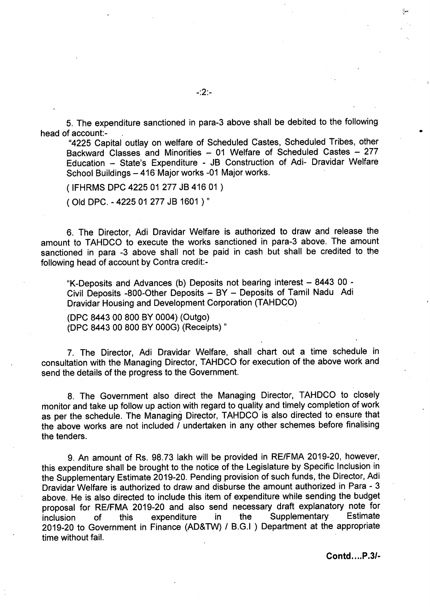5. The expenditure sanctioned in para-3 above shall be debited to the following head of account:-

"4225 Capital outlay on welfare of Scheduled Castes, Scheduled Tribes, other Backward Classes and Minorities — <sup>01</sup> Welfare of Scheduled Castes — 277 Education — State's Expenditure - JB Construction of Adi- Dravidar Welfare School Buildings - 416 Major works -01 Major works.

(IFHRMS DPC 4225 01 277 JB 416 O1 )

(Old DPC. - 4225 01 277 JB 1601 )"

6. The Director, Adi Dravidar Welfare is authorized to draw and release the amount to TAHDCO to execute the works sanctioned in para-3 above. The amount sanctioned in para -3 above shall not be paid in cash but shall be credited to the following head of account by Contra credit:-

"K-Deposits and Advances (b) Deposits not bearing interest — 8443 00 - Civil Deposits -800-Other Deposits - BY - Deposits of Tamil Nadu Adi Dravidar Housing and Development Corporation (TAHDCO)

(DPC 8443 00 800 BY 0004) (Outgo) (DPC 8443 00 800 BY 000G) (Receipts) "

7. The Director, Adi Dravidar Welfare, shall chart out a time schedule in consultation with the Managing Director, TAHDCO for execution of the above work and send the details of the progress to the Government.

8. The Government also direct the Managing Director, TAHDCO to closely monitor and take up follow up action with regard to quality and timely completion of work as per the schedule. The Managing Director, TAHDCO is also directed to ensure that the above works are not included / undertaken in any other schemes before finalising the tenders.

9. An amount of Rs. 98.73 lakh will be provided in RE/FMA 2019-20, however, this expenditure shall be brought to the notice of the Legislature by Specific Inclusion in the Supplementary Estimate 2019-20. Pending provision of such funds, the Director, Adi Dravidar Welfare is authorized to draw and disburse the amount authorized in Para- 3 above. He is also directed to include this item of expenditure while sending the budget proposal for RE/FMA 2019-20 and also send necessary draft explanatory note for<br>inclusion of this expenditure in the Supplementary Estimate inclusion of this expenditure in the Supplementary Estimate 2019-20 to Government in Finance (AD&TW) / B. G. <sup>|</sup> ) Department at the appropriate time without fail.

Contd....P.3/-